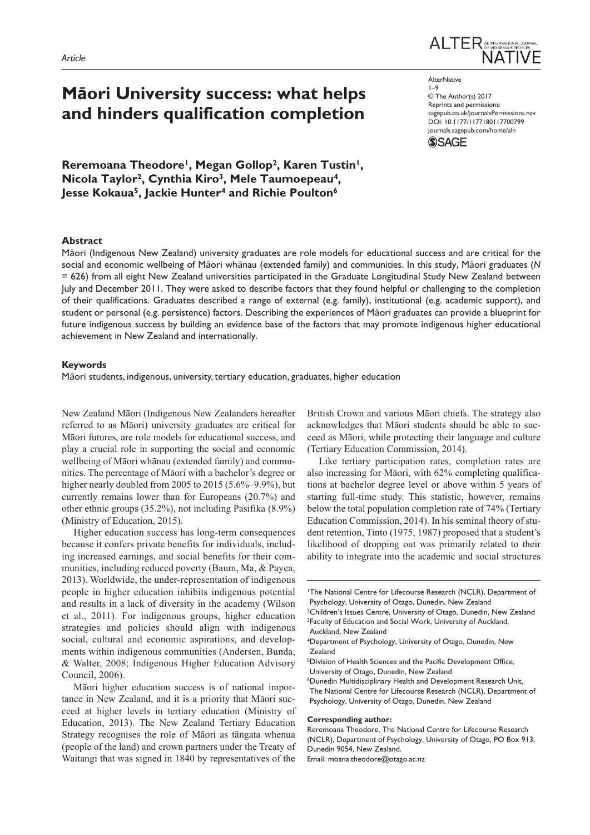# **Māori University success: what helps and hinders qualification completion**

Reremoana Theodore<sup>1</sup>, Megan Gollop<sup>2</sup>, Karen Tustin<sup>1</sup>, **Nicola Taylor2, Cynthia Kiro3, Mele Taumoepeau4, Jesse Kokaua5, Jackie Hunter4 and Richie Poulton6**



**AlterNative**  $1-9$ © The Author(s) 2017 Reprints and permissions: [sagepub.co.uk/journalsPermissions.nav](https://uk.sagepub.com/en-gb/journals-permissions) DOI: 10.1177/1177180117700799 [journals.sagepub.com/home/a](https://journals.sagepub.com/home/aln)ln **SSAGE** 

## **Abstract**

Māori (Indigenous New Zealand) university graduates are role models for educational success and are critical for the social and economic wellbeing of Māori whānau (extended family) and communities. In this study, Māori graduates (*N* = 626) from all eight New Zealand universities participated in the Graduate Longitudinal Study New Zealand between July and December 2011. They were asked to describe factors that they found helpful or challenging to the completion of their qualifications. Graduates described a range of external (e.g. family), institutional (e.g. academic support), and student or personal (e.g. persistence) factors. Describing the experiences of Māori graduates can provide a blueprint for future indigenous success by building an evidence base of the factors that may promote indigenous higher educational achievement in New Zealand and internationally.

## **Keywords**

Māori students, indigenous, university, tertiary education, graduates, higher education

New Zealand Māori (Indigenous New Zealanders hereafter referred to as Māori) university graduates are critical for Māori futures, are role models for educational success, and play a crucial role in supporting the social and economic wellbeing of Māori whānau (extended family) and communities. The percentage of Māori with a bachelor's degree or higher nearly doubled from 2005 to 2015 (5.6%–9.9%), but currently remains lower than for Europeans (20.7%) and other ethnic groups (35.2%), not including Pasifika (8.9%) (Ministry of Education, 2015).

Higher education success has long-term consequences because it confers private benefits for individuals, including increased earnings, and social benefits for their communities, including reduced poverty (Baum, Ma, & Payea, 2013). Worldwide, the under-representation of indigenous people in higher education inhibits indigenous potential and results in a lack of diversity in the academy (Wilson et al., 2011). For indigenous groups, higher education strategies and policies should align with indigenous social, cultural and economic aspirations, and developments within indigenous communities (Andersen, Bunda, & Walter, 2008; Indigenous Higher Education Advisory Council, 2006).

Māori higher education success is of national importance in New Zealand, and it is a priority that Māori succeed at higher levels in tertiary education (Ministry of Education, 2013). The New Zealand Tertiary Education Strategy recognises the role of Māori as tāngata whenua (people of the land) and crown partners under the Treaty of Waitangi that was signed in 1840 by representatives of the

British Crown and various Māori chiefs. The strategy also acknowledges that Māori students should be able to succeed as Māori, while protecting their language and culture (Tertiary Education Commission, 2014).

Like tertiary participation rates, completion rates are also increasing for Māori, with 62% completing qualifications at bachelor degree level or above within 5 years of starting full-time study. This statistic, however, remains below the total population completion rate of 74% (Tertiary Education Commission, 2014). In his seminal theory of student retention, Tinto (1975, 1987) proposed that a student's likelihood of dropping out was primarily related to their ability to integrate into the academic and social structures

#### **Corresponding author:**

Reremoana Theodore, The National Centre for Lifecourse Research (NCLR), Department of Psychology, University of Otago, PO Box 913, Dunedin 9054, New Zealand.

Email: [moana.theodore@otago.ac.nz](mailto:moana.theodore@otago.ac.nz)

<sup>1</sup>The National Centre for Lifecourse Research (NCLR), Department of Psychology, University of Otago, Dunedin, New Zealand

<sup>&</sup>lt;sup>2</sup>Children's Issues Centre, University of Otago, Dunedin, New Zealand <sup>3</sup>Faculty of Education and Social Work, University of Auckland, Auckland, New Zealand

<sup>4</sup>Department of Psychology, University of Otago, Dunedin, New Zealand

<sup>5</sup>Division of Health Sciences and the Pacific Development Office, University of Otago, Dunedin, New Zealand

<sup>6</sup>Dunedin Multidisciplinary Health and Development Research Unit, The National Centre for Lifecourse Research (NCLR), Department of Psychology, University of Otago, Dunedin, New Zealand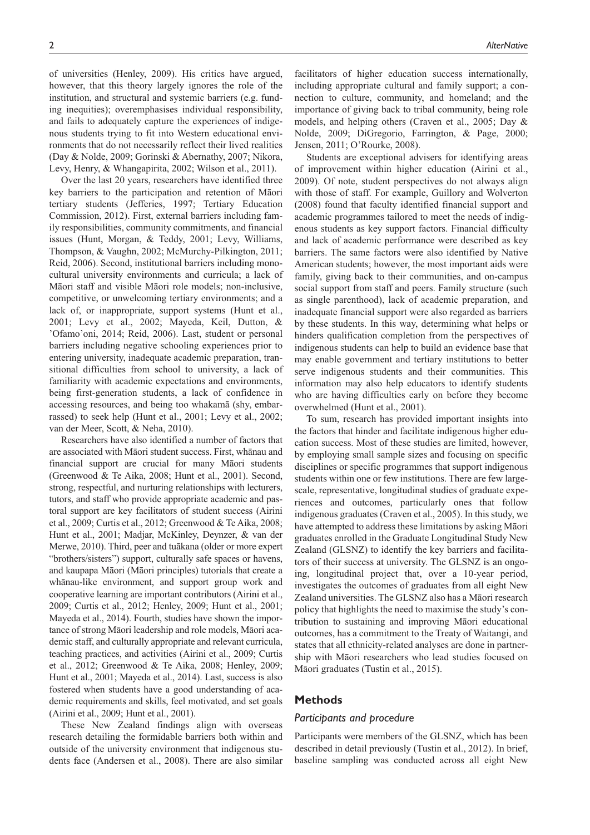of universities (Henley, 2009). His critics have argued, however, that this theory largely ignores the role of the institution, and structural and systemic barriers (e.g. funding inequities); overemphasises individual responsibility, and fails to adequately capture the experiences of indigenous students trying to fit into Western educational environments that do not necessarily reflect their lived realities (Day & Nolde, 2009; Gorinski & Abernathy, 2007; Nikora, Levy, Henry, & Whangapirita, 2002; Wilson et al., 2011).

Over the last 20 years, researchers have identified three key barriers to the participation and retention of Māori tertiary students (Jefferies, 1997; Tertiary Education Commission, 2012). First, external barriers including family responsibilities, community commitments, and financial issues (Hunt, Morgan, & Teddy, 2001; Levy, Williams, Thompson, & Vaughn, 2002; McMurchy-Pilkington, 2011; Reid, 2006). Second, institutional barriers including monocultural university environments and curricula; a lack of Māori staff and visible Māori role models; non-inclusive, competitive, or unwelcoming tertiary environments; and a lack of, or inappropriate, support systems (Hunt et al., 2001; Levy et al., 2002; Mayeda, Keil, Dutton, & 'Ofamo'oni, 2014; Reid, 2006). Last, student or personal barriers including negative schooling experiences prior to entering university, inadequate academic preparation, transitional difficulties from school to university, a lack of familiarity with academic expectations and environments, being first-generation students, a lack of confidence in accessing resources, and being too whakamā (shy, embarrassed) to seek help (Hunt et al., 2001; Levy et al., 2002; van der Meer, Scott, & Neha, 2010).

Researchers have also identified a number of factors that are associated with Māori student success. First, whānau and financial support are crucial for many Māori students (Greenwood & Te Aika, 2008; Hunt et al., 2001). Second, strong, respectful, and nurturing relationships with lecturers, tutors, and staff who provide appropriate academic and pastoral support are key facilitators of student success (Airini et al., 2009; Curtis et al., 2012; Greenwood & Te Aika, 2008; Hunt et al., 2001; Madjar, McKinley, Deynzer, & van der Merwe, 2010). Third, peer and tuākana (older or more expert "brothers/sisters") support, culturally safe spaces or havens, and kaupapa Māori (Māori principles) tutorials that create a whānau-like environment, and support group work and cooperative learning are important contributors (Airini et al., 2009; Curtis et al., 2012; Henley, 2009; Hunt et al., 2001; Mayeda et al., 2014). Fourth, studies have shown the importance of strong Māori leadership and role models, Māori academic staff, and culturally appropriate and relevant curricula, teaching practices, and activities (Airini et al., 2009; Curtis et al., 2012; Greenwood & Te Aika, 2008; Henley, 2009; Hunt et al., 2001; Mayeda et al., 2014). Last, success is also fostered when students have a good understanding of academic requirements and skills, feel motivated, and set goals (Airini et al., 2009; Hunt et al., 2001).

These New Zealand findings align with overseas research detailing the formidable barriers both within and outside of the university environment that indigenous students face (Andersen et al., 2008). There are also similar

facilitators of higher education success internationally, including appropriate cultural and family support; a connection to culture, community, and homeland; and the importance of giving back to tribal community, being role models, and helping others (Craven et al., 2005; Day & Nolde, 2009; DiGregorio, Farrington, & Page, 2000; Jensen, 2011; O'Rourke, 2008).

Students are exceptional advisers for identifying areas of improvement within higher education (Airini et al., 2009). Of note, student perspectives do not always align with those of staff. For example, Guillory and Wolverton (2008) found that faculty identified financial support and academic programmes tailored to meet the needs of indigenous students as key support factors. Financial difficulty and lack of academic performance were described as key barriers. The same factors were also identified by Native American students; however, the most important aids were family, giving back to their communities, and on-campus social support from staff and peers. Family structure (such as single parenthood), lack of academic preparation, and inadequate financial support were also regarded as barriers by these students. In this way, determining what helps or hinders qualification completion from the perspectives of indigenous students can help to build an evidence base that may enable government and tertiary institutions to better serve indigenous students and their communities. This information may also help educators to identify students who are having difficulties early on before they become overwhelmed (Hunt et al., 2001).

To sum, research has provided important insights into the factors that hinder and facilitate indigenous higher education success. Most of these studies are limited, however, by employing small sample sizes and focusing on specific disciplines or specific programmes that support indigenous students within one or few institutions. There are few largescale, representative, longitudinal studies of graduate experiences and outcomes, particularly ones that follow indigenous graduates (Craven et al., 2005). In this study, we have attempted to address these limitations by asking Māori graduates enrolled in the Graduate Longitudinal Study New Zealand (GLSNZ) to identify the key barriers and facilitators of their success at university. The GLSNZ is an ongoing, longitudinal project that, over a 10-year period, investigates the outcomes of graduates from all eight New Zealand universities. The GLSNZ also has a Māori research policy that highlights the need to maximise the study's contribution to sustaining and improving Māori educational outcomes, has a commitment to the Treaty of Waitangi, and states that all ethnicity-related analyses are done in partnership with Māori researchers who lead studies focused on Māori graduates (Tustin et al., 2015).

## **Methods**

#### *Participants and procedure*

Participants were members of the GLSNZ, which has been described in detail previously (Tustin et al., 2012). In brief, baseline sampling was conducted across all eight New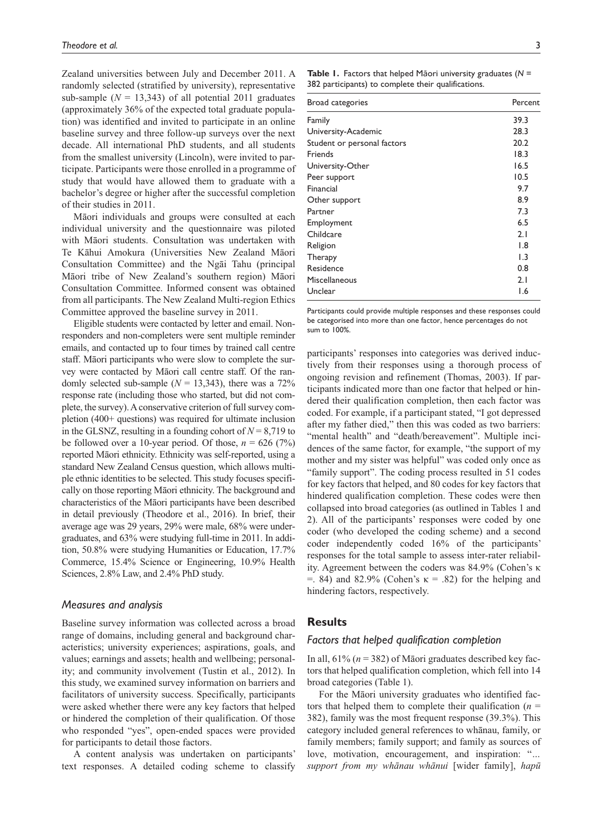Zealand universities between July and December 2011. A randomly selected (stratified by university), representative sub-sample  $(N = 13,343)$  of all potential 2011 graduates (approximately 36% of the expected total graduate population) was identified and invited to participate in an online baseline survey and three follow-up surveys over the next decade. All international PhD students, and all students from the smallest university (Lincoln), were invited to participate. Participants were those enrolled in a programme of study that would have allowed them to graduate with a bachelor's degree or higher after the successful completion of their studies in 2011.

Māori individuals and groups were consulted at each individual university and the questionnaire was piloted with Māori students. Consultation was undertaken with Te Kāhui Amokura (Universities New Zealand Māori Consultation Committee) and the Ngāi Tahu (principal Māori tribe of New Zealand's southern region) Māori Consultation Committee. Informed consent was obtained from all participants. The New Zealand Multi-region Ethics Committee approved the baseline survey in 2011.

Eligible students were contacted by letter and email. Nonresponders and non-completers were sent multiple reminder emails, and contacted up to four times by trained call centre staff. Māori participants who were slow to complete the survey were contacted by Māori call centre staff. Of the randomly selected sub-sample  $(N = 13,343)$ , there was a 72% response rate (including those who started, but did not complete, the survey). A conservative criterion of full survey completion (400+ questions) was required for ultimate inclusion in the GLSNZ, resulting in a founding cohort of  $N = 8,719$  to be followed over a 10-year period. Of those,  $n = 626 (7%)$ reported Māori ethnicity. Ethnicity was self-reported, using a standard New Zealand Census question, which allows multiple ethnic identities to be selected. This study focuses specifically on those reporting Māori ethnicity. The background and characteristics of the Māori participants have been described in detail previously (Theodore et al., 2016). In brief, their average age was 29 years, 29% were male, 68% were undergraduates, and 63% were studying full-time in 2011. In addition, 50.8% were studying Humanities or Education, 17.7% Commerce, 15.4% Science or Engineering, 10.9% Health Sciences, 2.8% Law, and 2.4% PhD study.

#### *Measures and analysis*

Baseline survey information was collected across a broad range of domains, including general and background characteristics; university experiences; aspirations, goals, and values; earnings and assets; health and wellbeing; personality; and community involvement (Tustin et al., 2012). In this study, we examined survey information on barriers and facilitators of university success. Specifically, participants were asked whether there were any key factors that helped or hindered the completion of their qualification. Of those who responded "yes", open-ended spaces were provided for participants to detail those factors.

A content analysis was undertaken on participants' text responses. A detailed coding scheme to classify **Table 1.** Factors that helped Māori university graduates (*N* = 382 participants) to complete their qualifications.

| Broad categories            | Percent          |
|-----------------------------|------------------|
| Family                      | 39.3             |
| University-Academic         | 28.3             |
| Student or personal factors | 20.2             |
| Friends                     | 18.3             |
| University-Other            | 16.5             |
| Peer support                | 10.5             |
| Financial                   | 9.7              |
| Other support               | 8.9              |
| Partner                     | 7.3              |
| Employment                  | 6.5              |
| Childcare                   | 2.1              |
| Religion                    | $\overline{1.8}$ |
| Therapy                     | $\overline{1.3}$ |
| Residence                   | 0.8              |
| Miscellaneous               | 2.1              |
| Unclear                     | I.6              |

Participants could provide multiple responses and these responses could be categorised into more than one factor, hence percentages do not sum to 100%.

participants' responses into categories was derived inductively from their responses using a thorough process of ongoing revision and refinement (Thomas, 2003). If participants indicated more than one factor that helped or hindered their qualification completion, then each factor was coded. For example, if a participant stated, "I got depressed after my father died," then this was coded as two barriers: "mental health" and "death/bereavement". Multiple incidences of the same factor, for example, "the support of my mother and my sister was helpful" was coded only once as "family support". The coding process resulted in 51 codes for key factors that helped, and 80 codes for key factors that hindered qualification completion. These codes were then collapsed into broad categories (as outlined in Tables 1 and 2). All of the participants' responses were coded by one coder (who developed the coding scheme) and a second coder independently coded 16% of the participants' responses for the total sample to assess inter-rater reliability. Agreement between the coders was 84.9% (Cohen's κ  $=$ . 84) and 82.9% (Cohen's  $\kappa = .82$ ) for the helping and hindering factors, respectively.

# **Results**

## *Factors that helped qualification completion*

In all,  $61\%$  ( $n = 382$ ) of Māori graduates described key factors that helped qualification completion, which fell into 14 broad categories (Table 1).

For the Māori university graduates who identified factors that helped them to complete their qualification  $(n =$ 382), family was the most frequent response (39.3%). This category included general references to whānau, family, or family members; family support; and family as sources of love, motivation, encouragement, and inspiration: "*… support from my whānau whānui* [wider family], *hapū*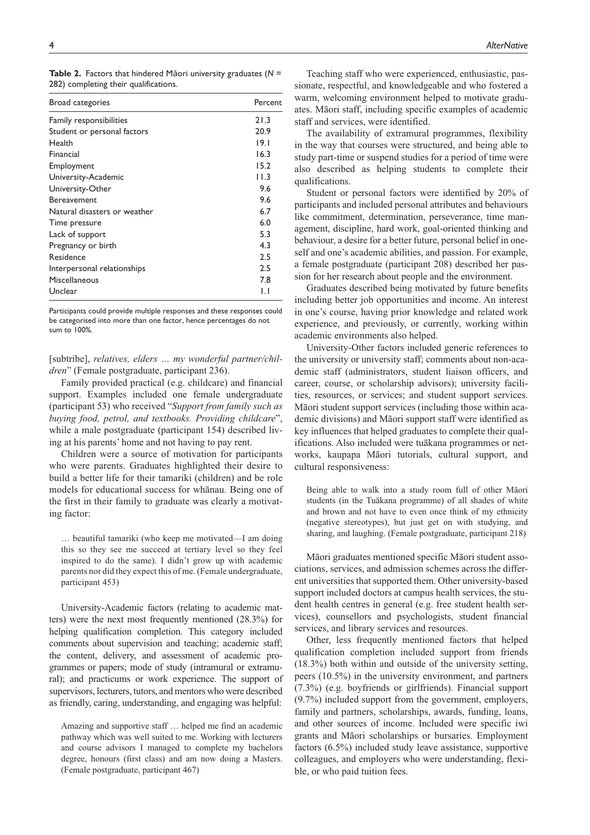| Broad categories             | Percent |
|------------------------------|---------|
| Family responsibilities      | 21.3    |
| Student or personal factors  | 20.9    |
| Health                       | 19.1    |
| Financial                    | 16.3    |
| Employment                   | 15.2    |
| University-Academic          | 11.3    |
| University-Other             | 9.6     |
| Bereavement                  | 9.6     |
| Natural disasters or weather | 6.7     |
| Time pressure                | 6.0     |
| Lack of support              | 5.3     |
| Pregnancy or birth           | 4.3     |
| Residence                    | 2.5     |
| Interpersonal relationships  | 2.5     |
| Miscellaneous                | 7.8     |
| Unclear                      | IJ      |

**Table 2.** Factors that hindered Māori university graduates (*N* = 282) completing their qualifications.

Participants could provide multiple responses and these responses could be categorised into more than one factor, hence percentages do not sum to 100%.

[subtribe], *relatives, elders … my wonderful partner/children*" (Female postgraduate, participant 236).

Family provided practical (e.g. childcare) and financial support. Examples included one female undergraduate (participant 53) who received "*Support from family such as buying food, petrol, and textbooks. Providing childcare*", while a male postgraduate (participant 154) described living at his parents' home and not having to pay rent.

Children were a source of motivation for participants who were parents. Graduates highlighted their desire to build a better life for their tamariki (children) and be role models for educational success for whānau. Being one of the first in their family to graduate was clearly a motivating factor:

… beautiful tamariki (who keep me motivated—I am doing this so they see me succeed at tertiary level so they feel inspired to do the same). I didn't grow up with academic parents nor did they expect this of me. (Female undergraduate, participant 453)

University-Academic factors (relating to academic matters) were the next most frequently mentioned (28.3%) for helping qualification completion. This category included comments about supervision and teaching; academic staff; the content, delivery, and assessment of academic programmes or papers; mode of study (intramural or extramural); and practicums or work experience. The support of supervisors, lecturers, tutors, and mentors who were described as friendly, caring, understanding, and engaging was helpful:

Amazing and supportive staff … helped me find an academic pathway which was well suited to me. Working with lecturers and course advisors I managed to complete my bachelors degree, honours (first class) and am now doing a Masters. (Female postgraduate, participant 467)

Teaching staff who were experienced, enthusiastic, passionate, respectful, and knowledgeable and who fostered a warm, welcoming environment helped to motivate graduates. Māori staff, including specific examples of academic staff and services, were identified.

The availability of extramural programmes, flexibility in the way that courses were structured, and being able to study part-time or suspend studies for a period of time were also described as helping students to complete their qualifications.

Student or personal factors were identified by 20% of participants and included personal attributes and behaviours like commitment, determination, perseverance, time management, discipline, hard work, goal-oriented thinking and behaviour, a desire for a better future, personal belief in oneself and one's academic abilities, and passion. For example, a female postgraduate (participant 208) described her passion for her research about people and the environment.

Graduates described being motivated by future benefits including better job opportunities and income. An interest in one's course, having prior knowledge and related work experience, and previously, or currently, working within academic environments also helped.

University-Other factors included generic references to the university or university staff; comments about non-academic staff (administrators, student liaison officers, and career, course, or scholarship advisors); university facilities, resources, or services; and student support services. Māori student support services (including those within academic divisions) and Māori support staff were identified as key influences that helped graduates to complete their qualifications. Also included were tuākana programmes or networks, kaupapa Māori tutorials, cultural support, and cultural responsiveness:

Being able to walk into a study room full of other Māori students (in the Tuākana programme) of all shades of white and brown and not have to even once think of my ethnicity (negative stereotypes), but just get on with studying, and sharing, and laughing. (Female postgraduate, participant 218)

Māori graduates mentioned specific Māori student associations, services, and admission schemes across the different universities that supported them. Other university-based support included doctors at campus health services, the student health centres in general (e.g. free student health services), counsellors and psychologists, student financial services, and library services and resources.

Other, less frequently mentioned factors that helped qualification completion included support from friends (18.3%) both within and outside of the university setting, peers (10.5%) in the university environment, and partners (7.3%) (e.g. boyfriends or girlfriends). Financial support (9.7%) included support from the government, employers, family and partners, scholarships, awards, funding, loans, and other sources of income. Included were specific iwi grants and Māori scholarships or bursaries. Employment factors (6.5%) included study leave assistance, supportive colleagues, and employers who were understanding, flexible, or who paid tuition fees.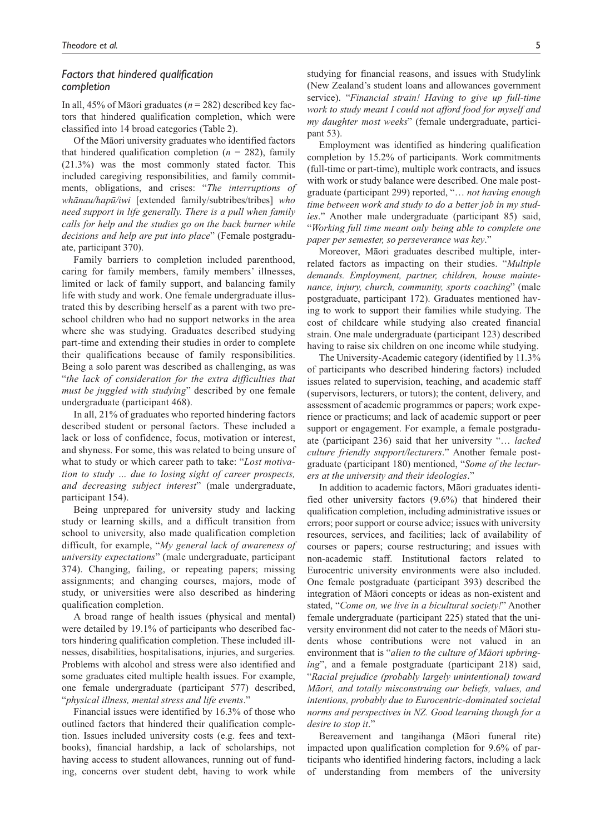## *Factors that hindered qualification completion*

In all, 45% of Māori graduates ( $n = 282$ ) described key factors that hindered qualification completion, which were classified into 14 broad categories (Table 2).

Of the Māori university graduates who identified factors that hindered qualification completion  $(n = 282)$ , family (21.3%) was the most commonly stated factor. This included caregiving responsibilities, and family commitments, obligations, and crises: "*The interruptions of whānau/hapū/iwi* [extended family/subtribes/tribes] *who need support in life generally. There is a pull when family calls for help and the studies go on the back burner while decisions and help are put into place*" (Female postgraduate, participant 370).

Family barriers to completion included parenthood, caring for family members, family members' illnesses, limited or lack of family support, and balancing family life with study and work. One female undergraduate illustrated this by describing herself as a parent with two preschool children who had no support networks in the area where she was studying. Graduates described studying part-time and extending their studies in order to complete their qualifications because of family responsibilities. Being a solo parent was described as challenging, as was "*the lack of consideration for the extra difficulties that must be juggled with studying*" described by one female undergraduate (participant 468).

In all, 21% of graduates who reported hindering factors described student or personal factors. These included a lack or loss of confidence, focus, motivation or interest, and shyness. For some, this was related to being unsure of what to study or which career path to take: "*Lost motivation to study … due to losing sight of career prospects, and decreasing subject interest*" (male undergraduate, participant 154).

Being unprepared for university study and lacking study or learning skills, and a difficult transition from school to university, also made qualification completion difficult, for example, "*My general lack of awareness of university expectations*" (male undergraduate, participant 374). Changing, failing, or repeating papers; missing assignments; and changing courses, majors, mode of study, or universities were also described as hindering qualification completion.

A broad range of health issues (physical and mental) were detailed by 19.1% of participants who described factors hindering qualification completion. These included illnesses, disabilities, hospitalisations, injuries, and surgeries. Problems with alcohol and stress were also identified and some graduates cited multiple health issues. For example, one female undergraduate (participant 577) described, "*physical illness, mental stress and life events*."

Financial issues were identified by 16.3% of those who outlined factors that hindered their qualification completion. Issues included university costs (e.g. fees and textbooks), financial hardship, a lack of scholarships, not having access to student allowances, running out of funding, concerns over student debt, having to work while studying for financial reasons, and issues with Studylink (New Zealand's student loans and allowances government service). "*Financial strain! Having to give up full-time work to study meant I could not afford food for myself and my daughter most weeks*" (female undergraduate, participant 53).

Employment was identified as hindering qualification completion by 15.2% of participants. Work commitments (full-time or part-time), multiple work contracts, and issues with work or study balance were described. One male postgraduate (participant 299) reported, "… *not having enough time between work and study to do a better job in my studies*." Another male undergraduate (participant 85) said, "*Working full time meant only being able to complete one paper per semester, so perseverance was key*."

Moreover, Māori graduates described multiple, interrelated factors as impacting on their studies. "*Multiple demands. Employment, partner, children, house maintenance, injury, church, community, sports coaching*" (male postgraduate, participant 172). Graduates mentioned having to work to support their families while studying. The cost of childcare while studying also created financial strain. One male undergraduate (participant 123) described having to raise six children on one income while studying.

The University-Academic category (identified by 11.3% of participants who described hindering factors) included issues related to supervision, teaching, and academic staff (supervisors, lecturers, or tutors); the content, delivery, and assessment of academic programmes or papers; work experience or practicums; and lack of academic support or peer support or engagement. For example, a female postgraduate (participant 236) said that her university "… *lacked culture friendly support/lecturers*." Another female postgraduate (participant 180) mentioned, "*Some of the lecturers at the university and their ideologies*."

In addition to academic factors, Māori graduates identified other university factors (9.6%) that hindered their qualification completion, including administrative issues or errors; poor support or course advice; issues with university resources, services, and facilities; lack of availability of courses or papers; course restructuring; and issues with non-academic staff. Institutional factors related to Eurocentric university environments were also included. One female postgraduate (participant 393) described the integration of Māori concepts or ideas as non-existent and stated, "*Come on, we live in a bicultural society!*" Another female undergraduate (participant 225) stated that the university environment did not cater to the needs of Māori students whose contributions were not valued in an environment that is "*alien to the culture of Māori upbringing*", and a female postgraduate (participant 218) said, "*Racial prejudice (probably largely unintentional) toward Māori, and totally misconstruing our beliefs, values, and intentions, probably due to Eurocentric-dominated societal norms and perspectives in NZ. Good learning though for a desire to stop it*."

Bereavement and tangihanga (Māori funeral rite) impacted upon qualification completion for 9.6% of participants who identified hindering factors, including a lack of understanding from members of the university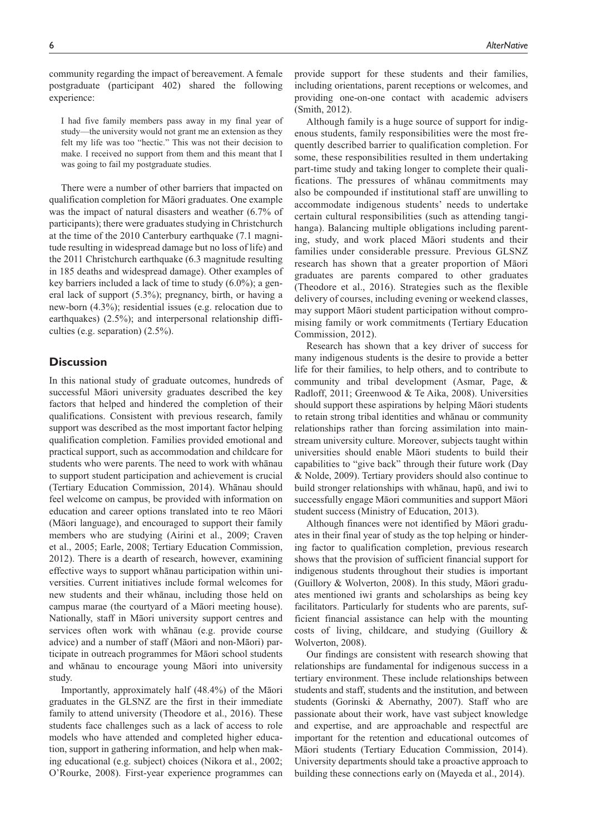community regarding the impact of bereavement. A female postgraduate (participant 402) shared the following experience:

I had five family members pass away in my final year of study—the university would not grant me an extension as they felt my life was too "hectic." This was not their decision to make. I received no support from them and this meant that I was going to fail my postgraduate studies.

There were a number of other barriers that impacted on qualification completion for Māori graduates. One example was the impact of natural disasters and weather (6.7% of participants); there were graduates studying in Christchurch at the time of the 2010 Canterbury earthquake (7.1 magnitude resulting in widespread damage but no loss of life) and the 2011 Christchurch earthquake (6.3 magnitude resulting in 185 deaths and widespread damage). Other examples of key barriers included a lack of time to study (6.0%); a general lack of support (5.3%); pregnancy, birth, or having a new-born (4.3%); residential issues (e.g. relocation due to earthquakes) (2.5%); and interpersonal relationship difficulties (e.g. separation) (2.5%).

# **Discussion**

In this national study of graduate outcomes, hundreds of successful Māori university graduates described the key factors that helped and hindered the completion of their qualifications. Consistent with previous research, family support was described as the most important factor helping qualification completion. Families provided emotional and practical support, such as accommodation and childcare for students who were parents. The need to work with whānau to support student participation and achievement is crucial (Tertiary Education Commission, 2014). Whānau should feel welcome on campus, be provided with information on education and career options translated into te reo Māori (Māori language), and encouraged to support their family members who are studying (Airini et al., 2009; Craven et al., 2005; Earle, 2008; Tertiary Education Commission, 2012). There is a dearth of research, however, examining effective ways to support whānau participation within universities. Current initiatives include formal welcomes for new students and their whānau, including those held on campus marae (the courtyard of a Māori meeting house). Nationally, staff in Māori university support centres and services often work with whānau (e.g. provide course advice) and a number of staff (Māori and non-Māori) participate in outreach programmes for Māori school students and whānau to encourage young Māori into university study.

Importantly, approximately half (48.4%) of the Māori graduates in the GLSNZ are the first in their immediate family to attend university (Theodore et al., 2016). These students face challenges such as a lack of access to role models who have attended and completed higher education, support in gathering information, and help when making educational (e.g. subject) choices (Nikora et al., 2002; O'Rourke, 2008). First-year experience programmes can provide support for these students and their families, including orientations, parent receptions or welcomes, and providing one-on-one contact with academic advisers (Smith, 2012).

Although family is a huge source of support for indigenous students, family responsibilities were the most frequently described barrier to qualification completion. For some, these responsibilities resulted in them undertaking part-time study and taking longer to complete their qualifications. The pressures of whānau commitments may also be compounded if institutional staff are unwilling to accommodate indigenous students' needs to undertake certain cultural responsibilities (such as attending tangihanga). Balancing multiple obligations including parenting, study, and work placed Māori students and their families under considerable pressure. Previous GLSNZ research has shown that a greater proportion of Māori graduates are parents compared to other graduates (Theodore et al., 2016). Strategies such as the flexible delivery of courses, including evening or weekend classes, may support Māori student participation without compromising family or work commitments (Tertiary Education Commission, 2012).

Research has shown that a key driver of success for many indigenous students is the desire to provide a better life for their families, to help others, and to contribute to community and tribal development (Asmar, Page, & Radloff, 2011; Greenwood & Te Aika, 2008). Universities should support these aspirations by helping Māori students to retain strong tribal identities and whānau or community relationships rather than forcing assimilation into mainstream university culture. Moreover, subjects taught within universities should enable Māori students to build their capabilities to "give back" through their future work (Day & Nolde, 2009). Tertiary providers should also continue to build stronger relationships with whānau, hapū, and iwi to successfully engage Māori communities and support Māori student success (Ministry of Education, 2013).

Although finances were not identified by Māori graduates in their final year of study as the top helping or hindering factor to qualification completion, previous research shows that the provision of sufficient financial support for indigenous students throughout their studies is important (Guillory & Wolverton, 2008). In this study, Māori graduates mentioned iwi grants and scholarships as being key facilitators. Particularly for students who are parents, sufficient financial assistance can help with the mounting costs of living, childcare, and studying (Guillory & Wolverton, 2008).

Our findings are consistent with research showing that relationships are fundamental for indigenous success in a tertiary environment. These include relationships between students and staff, students and the institution, and between students (Gorinski & Abernathy, 2007). Staff who are passionate about their work, have vast subject knowledge and expertise, and are approachable and respectful are important for the retention and educational outcomes of Māori students (Tertiary Education Commission, 2014). University departments should take a proactive approach to building these connections early on (Mayeda et al., 2014).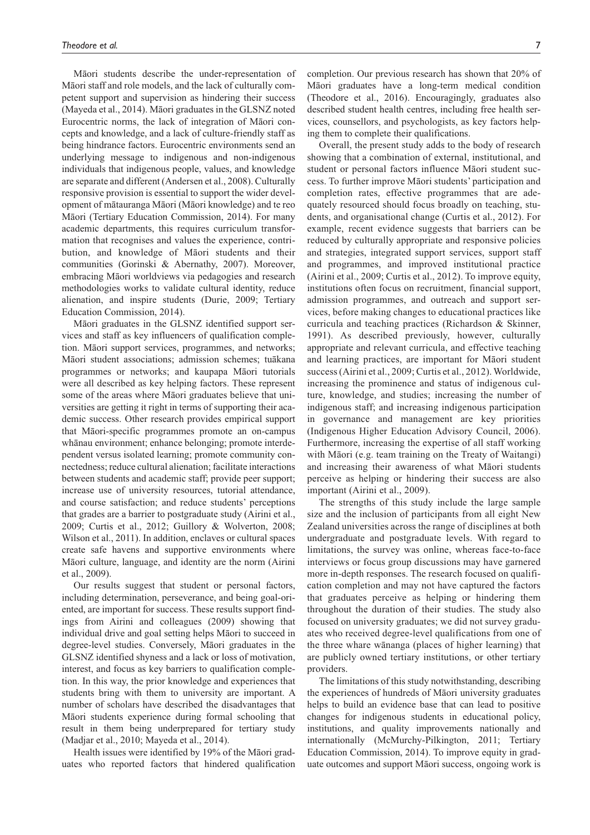Māori students describe the under-representation of Māori staff and role models, and the lack of culturally competent support and supervision as hindering their success (Mayeda et al., 2014). Māori graduates in the GLSNZ noted Eurocentric norms, the lack of integration of Māori concepts and knowledge, and a lack of culture-friendly staff as being hindrance factors. Eurocentric environments send an underlying message to indigenous and non-indigenous individuals that indigenous people, values, and knowledge are separate and different (Andersen et al., 2008). Culturally responsive provision is essential to support the wider development of mātauranga Māori (Māori knowledge) and te reo Māori (Tertiary Education Commission, 2014). For many academic departments, this requires curriculum transformation that recognises and values the experience, contribution, and knowledge of Māori students and their communities (Gorinski & Abernathy, 2007). Moreover, embracing Māori worldviews via pedagogies and research methodologies works to validate cultural identity, reduce alienation, and inspire students (Durie, 2009; Tertiary Education Commission, 2014).

Māori graduates in the GLSNZ identified support services and staff as key influencers of qualification completion. Māori support services, programmes, and networks; Māori student associations; admission schemes; tuākana programmes or networks; and kaupapa Māori tutorials were all described as key helping factors. These represent some of the areas where Māori graduates believe that universities are getting it right in terms of supporting their academic success. Other research provides empirical support that Māori-specific programmes promote an on-campus whānau environment; enhance belonging; promote interdependent versus isolated learning; promote community connectedness; reduce cultural alienation; facilitate interactions between students and academic staff; provide peer support; increase use of university resources, tutorial attendance, and course satisfaction; and reduce students' perceptions that grades are a barrier to postgraduate study (Airini et al., 2009; Curtis et al., 2012; Guillory & Wolverton, 2008; Wilson et al., 2011). In addition, enclaves or cultural spaces create safe havens and supportive environments where Māori culture, language, and identity are the norm (Airini et al., 2009).

Our results suggest that student or personal factors, including determination, perseverance, and being goal-oriented, are important for success. These results support findings from Airini and colleagues (2009) showing that individual drive and goal setting helps Māori to succeed in degree-level studies. Conversely, Māori graduates in the GLSNZ identified shyness and a lack or loss of motivation, interest, and focus as key barriers to qualification completion. In this way, the prior knowledge and experiences that students bring with them to university are important. A number of scholars have described the disadvantages that Māori students experience during formal schooling that result in them being underprepared for tertiary study (Madjar et al., 2010; Mayeda et al., 2014).

Health issues were identified by 19% of the Māori graduates who reported factors that hindered qualification completion. Our previous research has shown that 20% of Māori graduates have a long-term medical condition (Theodore et al., 2016). Encouragingly, graduates also described student health centres, including free health services, counsellors, and psychologists, as key factors helping them to complete their qualifications.

Overall, the present study adds to the body of research showing that a combination of external, institutional, and student or personal factors influence Māori student success. To further improve Māori students' participation and completion rates, effective programmes that are adequately resourced should focus broadly on teaching, students, and organisational change (Curtis et al., 2012). For example, recent evidence suggests that barriers can be reduced by culturally appropriate and responsive policies and strategies, integrated support services, support staff and programmes, and improved institutional practice (Airini et al., 2009; Curtis et al., 2012). To improve equity, institutions often focus on recruitment, financial support, admission programmes, and outreach and support services, before making changes to educational practices like curricula and teaching practices (Richardson & Skinner, 1991). As described previously, however, culturally appropriate and relevant curricula, and effective teaching and learning practices, are important for Māori student success (Airini et al., 2009; Curtis et al., 2012). Worldwide, increasing the prominence and status of indigenous culture, knowledge, and studies; increasing the number of indigenous staff; and increasing indigenous participation in governance and management are key priorities (Indigenous Higher Education Advisory Council, 2006). Furthermore, increasing the expertise of all staff working with Māori (e.g. team training on the Treaty of Waitangi) and increasing their awareness of what Māori students perceive as helping or hindering their success are also important (Airini et al., 2009).

The strengths of this study include the large sample size and the inclusion of participants from all eight New Zealand universities across the range of disciplines at both undergraduate and postgraduate levels. With regard to limitations, the survey was online, whereas face-to-face interviews or focus group discussions may have garnered more in-depth responses. The research focused on qualification completion and may not have captured the factors that graduates perceive as helping or hindering them throughout the duration of their studies. The study also focused on university graduates; we did not survey graduates who received degree-level qualifications from one of the three whare wānanga (places of higher learning) that are publicly owned tertiary institutions, or other tertiary providers.

The limitations of this study notwithstanding, describing the experiences of hundreds of Māori university graduates helps to build an evidence base that can lead to positive changes for indigenous students in educational policy, institutions, and quality improvements nationally and internationally (McMurchy-Pilkington, 2011; Tertiary Education Commission, 2014). To improve equity in graduate outcomes and support Māori success, ongoing work is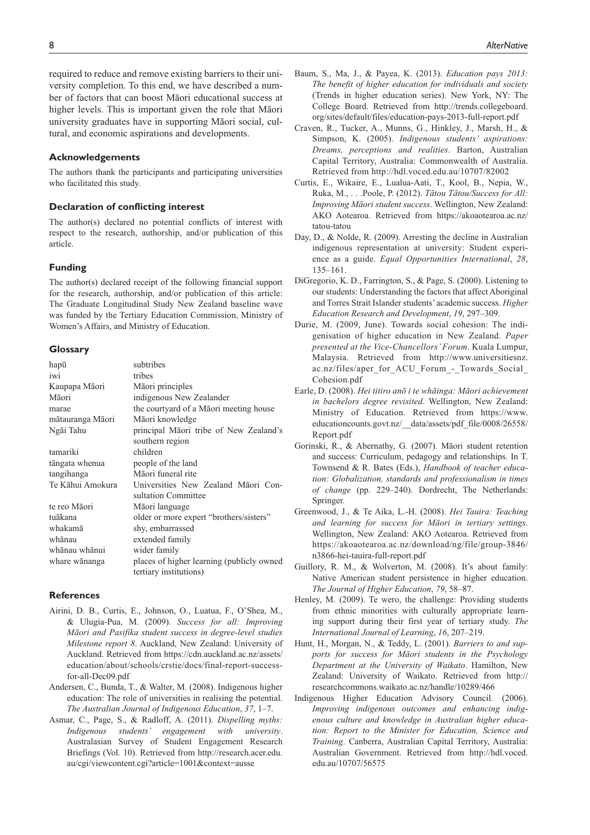required to reduce and remove existing barriers to their university completion. To this end, we have described a number of factors that can boost Māori educational success at higher levels. This is important given the role that Māori university graduates have in supporting Māori social, cultural, and economic aspirations and developments.

## **Acknowledgements**

The authors thank the participants and participating universities who facilitated this study.

## **Declaration of conflicting interest**

The author(s) declared no potential conflicts of interest with respect to the research, authorship, and/or publication of this article.

## **Funding**

The author(s) declared receipt of the following financial support for the research, authorship, and/or publication of this article: The Graduate Longitudinal Study New Zealand baseline wave was funded by the Tertiary Education Commission, Ministry of Women's Affairs, and Ministry of Education.

## **Glossary**

| hapū             | subtribes                                                  |
|------------------|------------------------------------------------------------|
| iwi              | tribes                                                     |
| Kaupapa Māori    | Māori principles                                           |
| Māori            | indigenous New Zealander                                   |
| marae            | the courtyard of a Māori meeting house                     |
| mātauranga Māori | Māori knowledge                                            |
| Ngāi Tahu        | principal Māori tribe of New Zealand's                     |
|                  | southern region                                            |
| tamariki         | children                                                   |
| tāngata whenua   | people of the land                                         |
| tangihanga       | Māori funeral rite                                         |
| Te Kāhui Amokura | Universities New Zealand Māori Con-<br>sultation Committee |
| te reo Māori     | Māori language                                             |
| tuākana          | older or more expert "brothers/sisters"                    |
| whakamā          | shy, embarrassed                                           |
| whānau           | extended family                                            |
| whānau whānui    | wider family                                               |
| whare wānanga    | places of higher learning (publicly owned                  |
|                  |                                                            |
|                  | tertiary institutions)                                     |

## **References**

- Airini, D. B., Curtis, E., Johnson, O., Luatua, F., O'Shea, M., & Ulugia-Pua, M. (2009). *Success for all: Improving Māori and Pasifika student success in degree-level studies Milestone report 8*. Auckland, New Zealand: University of Auckland. Retrieved from [https://cdn.auckland.ac.nz/assets/](https://cdn.auckland.ac.nz/assets/education/about/schools/crstie/docs/final-report-success-for-all-Dec09.pdf) [education/about/schools/crstie/docs/final-report-success](https://cdn.auckland.ac.nz/assets/education/about/schools/crstie/docs/final-report-success-for-all-Dec09.pdf)[for-all-Dec09.pdf](https://cdn.auckland.ac.nz/assets/education/about/schools/crstie/docs/final-report-success-for-all-Dec09.pdf)
- Andersen, C., Bunda, T., & Walter, M. (2008). Indigenous higher education: The role of universities in realising the potential. *The Australian Journal of Indigenous Education*, *37*, 1–7.
- Asmar, C., Page, S., & Radloff, A. (2011). *Dispelling myths: Indigenous students' engagement with university*. Australasian Survey of Student Engagement Research Briefings (Vol. 10). Retrieved from [http://research.acer.edu.](http://research.acer.edu.au/cgi/viewcontent.cgi?article=1001&context=ausse) [au/cgi/viewcontent.cgi?article=1001&context=ausse](http://research.acer.edu.au/cgi/viewcontent.cgi?article=1001&context=ausse)
- Baum, S., Ma, J., & Payea, K. (2013). *Education pays 2013: The benefit of higher education for individuals and society* (Trends in higher education series). New York, NY: The College Board. Retrieved from [http://trends.collegeboard.](http://trends.collegeboard.org/sites/default/files/education-pays-2013-full-report.pdf) [org/sites/default/files/education-pays-2013-full-report.pdf](http://trends.collegeboard.org/sites/default/files/education-pays-2013-full-report.pdf)
- Craven, R., Tucker, A., Munns, G., Hinkley, J., Marsh, H., & Simpson, K. (2005). *Indigenous students' aspirations: Dreams, perceptions and realities*. Barton, Australian Capital Territory, Australia: Commonwealth of Australia. Retrieved from <http://hdl.voced.edu.au/10707/82002>
- Curtis, E., Wikaire, E., Lualua-Aati, T., Kool, B., Nepia, W., Ruka, M., . . .Poole, P. (2012). *Tātou Tātou/Success for All: Improving Māori student success*. Wellington, New Zealand: AKO Aotearoa. Retrieved from [https://akoaotearoa.ac.nz/](https://akoaotearoa.ac.nz/tatou-tatou) [tatou-tatou](https://akoaotearoa.ac.nz/tatou-tatou)
- Day, D., & Nolde, R. (2009). Arresting the decline in Australian indigenous representation at university: Student experience as a guide. *Equal Opportunities International*, *28*, 135–161.
- DiGregorio, K. D., Farrington, S., & Page, S. (2000). Listening to our students: Understanding the factors that affect Aboriginal and Torres Strait Islander students' academic success. *Higher Education Research and Development*, *19*, 297–309.
- Durie, M. (2009, June). Towards social cohesion: The indigenisation of higher education in New Zealand. *Paper presented at the Vice-Chancellors' Forum*. Kuala Lumpur, Malaysia. Retrieved from [http://www.universitiesnz.](http://www.universitiesnz.ac.nz/files/aper_for_ACU_Forum_-_Towards_Social_Cohesion.pdf) [ac.nz/files/aper\\_for\\_ACU\\_Forum\\_-\\_Towards\\_Social\\_](http://www.universitiesnz.ac.nz/files/aper_for_ACU_Forum_-_Towards_Social_Cohesion.pdf) [Cohesion.pdf](http://www.universitiesnz.ac.nz/files/aper_for_ACU_Forum_-_Towards_Social_Cohesion.pdf)
- Earle, D. (2008). *Hei titiro anō i te whāinga: Māori achievement in bachelors degree revisited*. Wellington, New Zealand: Ministry of Education. Retrieved from [https://www.](https://www.
educationcounts.govt.nz/__data/assets/pdf_file/0008/26558/
Report.pdf) [educationcounts.govt.nz/\\_\\_data/assets/pdf\\_file/0008/26558/](https://www.
educationcounts.govt.nz/__data/assets/pdf_file/0008/26558/
Report.pdf) [Report.pdf](https://www.
educationcounts.govt.nz/__data/assets/pdf_file/0008/26558/
Report.pdf)
- Gorinski, R., & Abernathy, G. (2007). Māori student retention and success: Curriculum, pedagogy and relationships. In T. Townsend & R. Bates (Eds.), *Handbook of teacher education: Globalization, standards and professionalism in times of change* (pp. 229–240). Dordrecht, The Netherlands: Springer.
- Greenwood, J., & Te Aika, L.-H. (2008). *Hei Tauira: Teaching and learning for success for Māori in tertiary settings*. Wellington, New Zealand: AKO Aotearoa. Retrieved from [https://akoaotearoa.ac.nz/download/ng/file/group-3846/](https://akoaotearoa.ac.nz/download/ng/file/group-3846/n3866-hei-tauira-full-report.pdf) [n3866-hei-tauira-full-report.pdf](https://akoaotearoa.ac.nz/download/ng/file/group-3846/n3866-hei-tauira-full-report.pdf)
- Guillory, R. M., & Wolverton, M. (2008). It's about family: Native American student persistence in higher education. *The Journal of Higher Education*, *79*, 58–87.
- Henley, M. (2009). Te wero, the challenge: Providing students from ethnic minorities with culturally appropriate learning support during their first year of tertiary study. *The International Journal of Learning*, *16*, 207–219.
- Hunt, H., Morgan, N., & Teddy, L. (2001). *Barriers to and supports for success for Māori students in the Psychology Department at the University of Waikato*. Hamilton, New Zealand: University of Waikato. Retrieved from [http://](http://researchcommons.waikato.ac.nz/handle/10289/466) [researchcommons.waikato.ac.nz/handle/10289/466](http://researchcommons.waikato.ac.nz/handle/10289/466)
- Indigenous Higher Education Advisory Council. (2006). *Improving indigenous outcomes and enhancing indigenous culture and knowledge in Australian higher education: Report to the Minister for Education, Science and Training*. Canberra, Australian Capital Territory, Australia: Australian Government. Retrieved from [http://hdl.voced.](http://hdl.voced.edu.au/10707/56575) [edu.au/10707/56575](http://hdl.voced.edu.au/10707/56575)